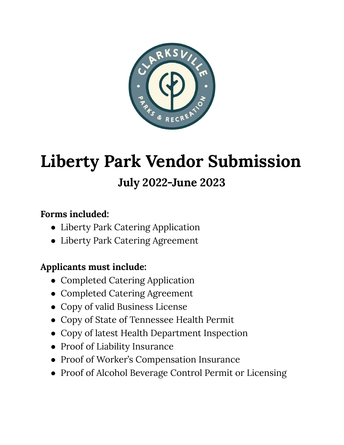

# **Liberty Park Vendor Submission July 2022-June 2023**

## **Forms included:**

- Liberty Park Catering Application
- Liberty Park Catering Agreement

## **Applicants must include:**

- Completed Catering Application
- Completed Catering Agreement
- Copy of valid Business License
- Copy of State of Tennessee Health Permit
- Copy of latest Health Department Inspection
- Proof of Liability Insurance
- Proof of Worker's Compensation Insurance
- Proof of Alcohol Beverage Control Permit or Licensing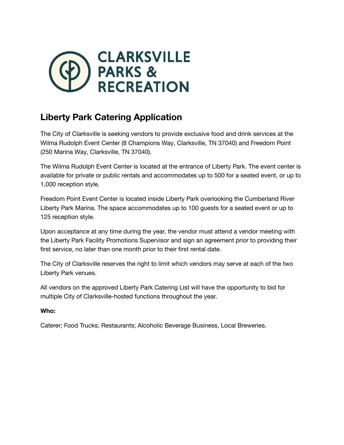

## **Liberty Park Catering Application**

The City of Clarksville is seeking vendors to provide exclusive food and drink services at the Wilma Rudolph Event Center (8 Champions Way, Clarksville, TN 37040) and Freedom Point (250 Marina Way, Clarksville, TN 37040).

The Wilma Rudolph Event Center is located at the entrance of Liberty Park. The event center is available for private or public rentals and accommodates up to 500 for a seated event, or up to 1,000 reception style.

Freedom Point Event Center is located inside Liberty Park overlooking the Cumberland River Liberty Park Marina. The space accommodates up to 100 guests for a seated event or up to 125 reception style.

Upon acceptance at any time during the year, the vendor must attend a vendor meeting with the Liberty Park Facility Promotions Supervisor and sign an agreement prior to providing their first service, no later than one month prior to their first rental date.

The City of Clarksville reserves the right to limit which vendors may serve at each of the two Liberty Park venues.

All vendors on the approved Liberty Park Catering List will have the opportunity to bid for multiple City of Clarksville-hosted functions throughout the year.

#### **Who:**

Caterer; Food Trucks; Restaurants; Alcoholic Beverage Business, Local Breweries.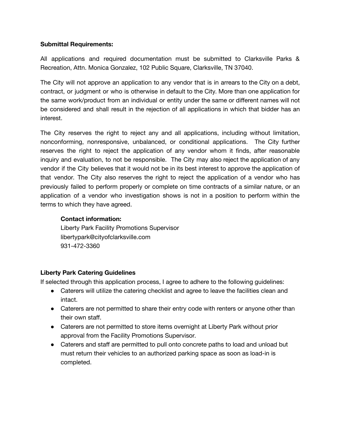#### **Submittal Requirements:**

All applications and required documentation must be submitted to Clarksville Parks & Recreation, Attn. Monica Gonzalez, 102 Public Square, Clarksville, TN 37040.

The City will not approve an application to any vendor that is in arrears to the City on a debt, contract, or judgment or who is otherwise in default to the City. More than one application for the same work/product from an individual or entity under the same or different names will not be considered and shall result in the rejection of all applications in which that bidder has an interest.

The City reserves the right to reject any and all applications, including without limitation, nonconforming, nonresponsive, unbalanced, or conditional applications. The City further reserves the right to reject the application of any vendor whom it finds, after reasonable inquiry and evaluation, to not be responsible. The City may also reject the application of any vendor if the City believes that it would not be in its best interest to approve the application of that vendor. The City also reserves the right to reject the application of a vendor who has previously failed to perform properly or complete on time contracts of a similar nature, or an application of a vendor who investigation shows is not in a position to perform within the terms to which they have agreed.

#### **Contact information:**

Liberty Park Facility Promotions Supervisor libertypark@cityofclarksville.com 931-472-3360

#### **Liberty Park Catering Guidelines**

If selected through this application process, I agree to adhere to the following guidelines:

- Caterers will utilize the catering checklist and agree to leave the facilities clean and intact.
- Caterers are not permitted to share their entry code with renters or anyone other than their own staff.
- Caterers are not permitted to store items overnight at Liberty Park without prior approval from the Facility Promotions Supervisor.
- Caterers and staff are permitted to pull onto concrete paths to load and unload but must return their vehicles to an authorized parking space as soon as load-in is completed.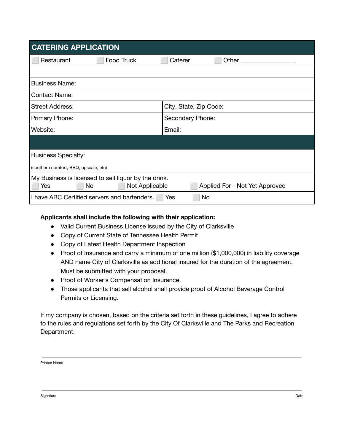| <b>CATERING APPLICATION</b>                                                                                           |                        |
|-----------------------------------------------------------------------------------------------------------------------|------------------------|
| Food Truck<br>Restaurant                                                                                              | Caterer                |
|                                                                                                                       |                        |
| <b>Business Name:</b>                                                                                                 |                        |
| <b>Contact Name:</b>                                                                                                  |                        |
| <b>Street Address:</b>                                                                                                | City, State, Zip Code: |
| Primary Phone:                                                                                                        | Secondary Phone:       |
| Website:                                                                                                              | Email:                 |
|                                                                                                                       |                        |
| <b>Business Specialty:</b>                                                                                            |                        |
| (southern comfort, BBQ, upscale, etc)                                                                                 |                        |
| My Business is licensed to sell liquor by the drink.<br>Not Applicable<br>No<br>Applied For - Not Yet Approved<br>Yes |                        |
| I have ABC Certified servers and bartenders.<br><b>No</b><br><b>Yes</b>                                               |                        |

#### **Applicants shall include the following with their application:**

- Valid Current Business License issued by the City of Clarksville
- Copy of Current State of Tennessee Health Permit
- Copy of Latest Health Department Inspection
- Proof of Insurance and carry a minimum of one million (\$1,000,000) in liability coverage AND name City of Clarksville as additional insured for the duration of the agreement. Must be submitted with your proposal.
- Proof of Worker's Compensation Insurance.
- Those applicants that sell alcohol shall provide proof of Alcohol Beverage Control Permits or Licensing.

If my company is chosen, based on the criteria set forth in these guidelines, I agree to adhere to the rules and regulations set forth by the City Of Clarksville and The Parks and Recreation Department.

Printed Name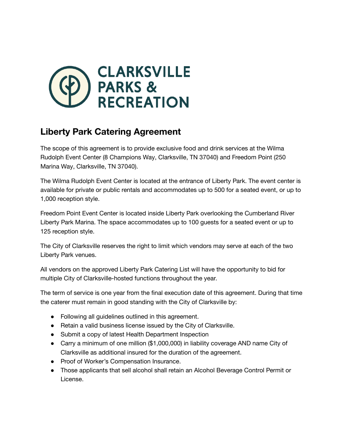

### **Liberty Park Catering Agreement**

The scope of this agreement is to provide exclusive food and drink services at the Wilma Rudolph Event Center (8 Champions Way, Clarksville, TN 37040) and Freedom Point (250 Marina Way, Clarksville, TN 37040).

The Wilma Rudolph Event Center is located at the entrance of Liberty Park. The event center is available for private or public rentals and accommodates up to 500 for a seated event, or up to 1,000 reception style.

Freedom Point Event Center is located inside Liberty Park overlooking the Cumberland River Liberty Park Marina. The space accommodates up to 100 guests for a seated event or up to 125 reception style.

The City of Clarksville reserves the right to limit which vendors may serve at each of the two Liberty Park venues.

All vendors on the approved Liberty Park Catering List will have the opportunity to bid for multiple City of Clarksville-hosted functions throughout the year.

The term of service is one year from the final execution date of this agreement. During that time the caterer must remain in good standing with the City of Clarksville by:

- Following all guidelines outlined in this agreement.
- Retain a valid business license issued by the City of Clarksville.
- Submit a copy of latest Health Department Inspection
- Carry a minimum of one million (\$1,000,000) in liability coverage AND name City of Clarksville as additional insured for the duration of the agreement.
- Proof of Worker's Compensation Insurance.
- Those applicants that sell alcohol shall retain an Alcohol Beverage Control Permit or License.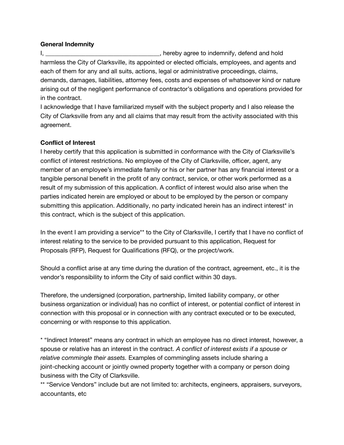#### **General Indemnity**

I, \_\_\_\_\_\_\_\_\_\_\_\_\_\_\_\_\_\_\_\_\_\_\_\_\_\_\_\_\_\_\_\_\_\_\_, hereby agree to indemnify, defend and hold harmless the City of Clarksville, its appointed or elected officials, employees, and agents and each of them for any and all suits, actions, legal or administrative proceedings, claims, demands, damages, liabilities, attorney fees, costs and expenses of whatsoever kind or nature arising out of the negligent performance of contractor's obligations and operations provided for in the contract.

I acknowledge that I have familiarized myself with the subject property and I also release the City of Clarksville from any and all claims that may result from the activity associated with this agreement.

#### **Conflict of Interest**

I hereby certify that this application is submitted in conformance with the City of Clarksville's conflict of interest restrictions. No employee of the City of Clarksville, officer, agent, any member of an employee's immediate family or his or her partner has any financial interest or a tangible personal benefit in the profit of any contract, service, or other work performed as a result of my submission of this application. A conflict of interest would also arise when the parties indicated herein are employed or about to be employed by the person or company submitting this application. Additionally, no party indicated herein has an indirect interest\* in this contract, which is the subject of this application.

In the event I am providing a service<sup>\*\*</sup> to the City of Clarksville, I certify that I have no conflict of interest relating to the service to be provided pursuant to this application, Request for Proposals (RFP), Request for Qualifications (RFQ), or the project/work.

Should a conflict arise at any time during the duration of the contract, agreement, etc., it is the vendor's responsibility to inform the City of said conflict within 30 days.

Therefore, the undersigned (corporation, partnership, limited liability company, or other business organization or individual) has no conflict of interest, or potential conflict of interest in connection with this proposal or in connection with any contract executed or to be executed, concerning or with response to this application.

\* "Indirect Interest" means any contract in which an employee has no direct interest, however, a spouse or relative has an interest in the contract. *A conflict of interest exists if a spouse or relative commingle their assets.* Examples of commingling assets include sharing a joint-checking account or jointly owned property together with a company or person doing business with the City of Clarksville.

\*\* "Service Vendors" include but are not limited to: architects, engineers, appraisers, surveyors, accountants, etc